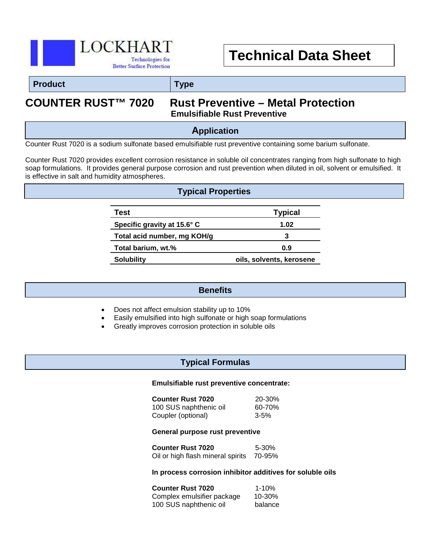

# **Technical Data Sheet**

#### **Product Type**

# **COUNTER RUST™ 7020 Rust Preventive – Metal Protection Emulsifiable Rust Preventive**

### **Application**

Counter Rust 7020 is a sodium sulfonate based emulsifiable rust preventive containing some barium sulfonate.

Counter Rust 7020 provides excellent corrosion resistance in soluble oil concentrates ranging from high sulfonate to high soap formulations. It provides general purpose corrosion and rust prevention when diluted in oil, solvent or emulsified. It is effective in salt and humidity atmospheres.

#### **Typical Properties**

| Test                        | <b>Typical</b>           |
|-----------------------------|--------------------------|
| Specific gravity at 15.6° C | 1.02                     |
| Total acid number, mg KOH/g |                          |
| Total barium, wt.%          | 0.9                      |
| <b>Solubility</b>           | oils, solvents, kerosene |

#### **Benefits**

- Does not affect emulsion stability up to 10%
- Easily emulsified into high sulfonate or high soap formulations
- Greatly improves corrosion protection in soluble oils

#### **Typical Formulas**

#### **Emulsifiable rust preventive concentrate:**

**Counter Rust 7020** 20-30%<br>100 SUS naphthenic oil 60-70% 100 SUS naphthenic oil Coupler (optional) 3-5%

#### **General purpose rust preventive**

**Counter Rust 7020** 5-30% Oil or high flash mineral spirits 70-95%

#### **In process corrosion inhibitor additives for soluble oils**

**Counter Rust 7020** 1-10% Complex emulsifier package 10-30% 100 SUS naphthenic oil balance